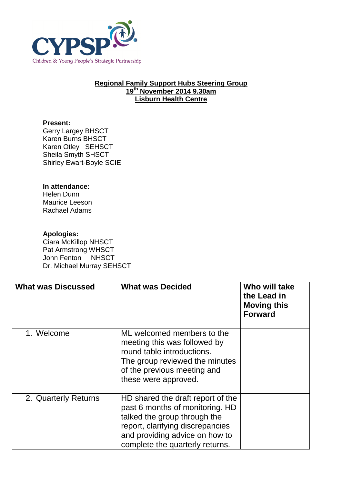

## **Regional Family Support Hubs Steering Group 19th November 2014 9.30am Lisburn Health Centre**

## **Present:**

Gerry Largey BHSCT Karen Burns BHSCT Karen Otley SEHSCT Sheila Smyth SHSCT Shirley Ewart-Boyle SCIE

## **In attendance:**

Helen Dunn Maurice Leeson Rachael Adams

## **Apologies:**

Ciara McKillop NHSCT Pat Armstrong WHSCT John Fenton NHSCT Dr. Michael Murray SEHSCT

| <b>What was Discussed</b> | <b>What was Decided</b>                                                                                                                                                                                       | Who will take<br>the Lead in<br><b>Moving this</b><br><b>Forward</b> |
|---------------------------|---------------------------------------------------------------------------------------------------------------------------------------------------------------------------------------------------------------|----------------------------------------------------------------------|
| 1. Welcome                | ML welcomed members to the<br>meeting this was followed by<br>round table introductions.<br>The group reviewed the minutes<br>of the previous meeting and<br>these were approved.                             |                                                                      |
| 2. Quarterly Returns      | HD shared the draft report of the<br>past 6 months of monitoring. HD<br>talked the group through the<br>report, clarifying discrepancies<br>and providing advice on how to<br>complete the quarterly returns. |                                                                      |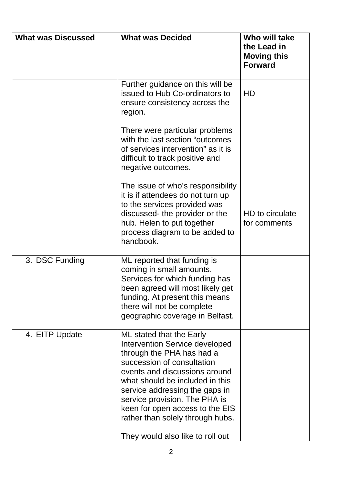| <b>What was Discussed</b> | <b>What was Decided</b>                                                                                                                                                                                                                                                                                                                                                 | Who will take<br>the Lead in<br><b>Moving this</b><br><b>Forward</b> |
|---------------------------|-------------------------------------------------------------------------------------------------------------------------------------------------------------------------------------------------------------------------------------------------------------------------------------------------------------------------------------------------------------------------|----------------------------------------------------------------------|
|                           | Further guidance on this will be<br>issued to Hub Co-ordinators to<br>ensure consistency across the<br>region.                                                                                                                                                                                                                                                          | <b>HD</b>                                                            |
|                           | There were particular problems<br>with the last section "outcomes<br>of services intervention" as it is<br>difficult to track positive and<br>negative outcomes.                                                                                                                                                                                                        |                                                                      |
|                           | The issue of who's responsibility<br>it is if attendees do not turn up<br>to the services provided was<br>discussed-the provider or the<br>hub. Helen to put together<br>process diagram to be added to<br>handbook.                                                                                                                                                    | HD to circulate<br>for comments                                      |
| 3. DSC Funding            | ML reported that funding is<br>coming in small amounts.<br>Services for which funding has<br>been agreed will most likely get<br>funding. At present this means<br>there will not be complete<br>geographic coverage in Belfast.                                                                                                                                        |                                                                      |
| 4. EITP Update            | ML stated that the Early<br>Intervention Service developed<br>through the PHA has had a<br>succession of consultation<br>events and discussions around<br>what should be included in this<br>service addressing the gaps in<br>service provision. The PHA is<br>keen for open access to the EIS<br>rather than solely through hubs.<br>They would also like to roll out |                                                                      |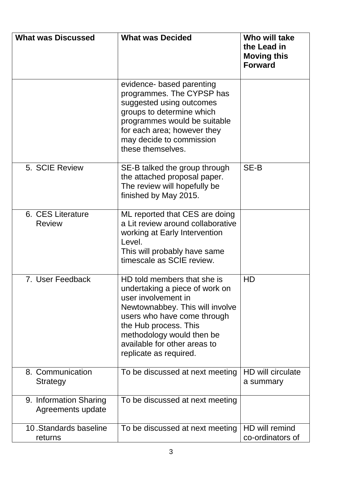| <b>What was Discussed</b>                   | <b>What was Decided</b>                                                                                                                                                                                                                                                | Who will take<br>the Lead in<br><b>Moving this</b><br><b>Forward</b> |
|---------------------------------------------|------------------------------------------------------------------------------------------------------------------------------------------------------------------------------------------------------------------------------------------------------------------------|----------------------------------------------------------------------|
|                                             | evidence- based parenting<br>programmes. The CYPSP has<br>suggested using outcomes<br>groups to determine which<br>programmes would be suitable<br>for each area; however they<br>may decide to commission<br>these themselves.                                        |                                                                      |
| 5. SCIE Review                              | SE-B talked the group through<br>the attached proposal paper.<br>The review will hopefully be<br>finished by May 2015.                                                                                                                                                 | SE-B                                                                 |
| 6. CES Literature<br><b>Review</b>          | ML reported that CES are doing<br>a Lit review around collaborative<br>working at Early Intervention<br>Level.<br>This will probably have same<br>timescale as SCIE review.                                                                                            |                                                                      |
| 7. User Feedback                            | HD told members that she is<br>undertaking a piece of work on<br>user involvement in<br>Newtownabbey. This will involve<br>users who have come through<br>the Hub process. This<br>methodology would then be<br>available for other areas to<br>replicate as required. | HD                                                                   |
| 8. Communication<br>Strategy                | To be discussed at next meeting                                                                                                                                                                                                                                        | <b>HD will circulate</b><br>a summary                                |
| 9. Information Sharing<br>Agreements update | To be discussed at next meeting                                                                                                                                                                                                                                        |                                                                      |
| 10. Standards baseline<br>returns           | To be discussed at next meeting                                                                                                                                                                                                                                        | HD will remind<br>co-ordinators of                                   |